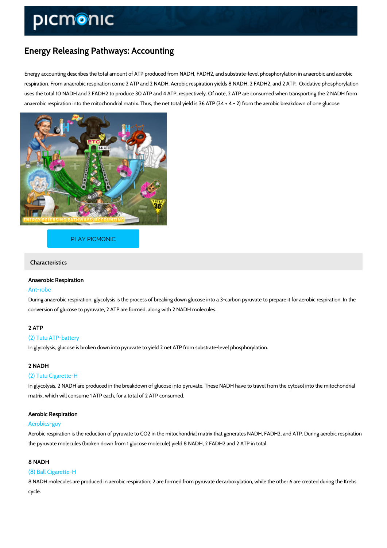# Energy Releasing Pathways: Accounting

Energy accounting describes the total amount of ATP produced from NADH, FADH2, and substra respiration. From anaerobic respiration come 2 ATP and 2 NADH. Aerobic respiration yields 8 N uses the total 10 NADH and 2 FADH2 to produce 30 ATP and 4 ATP, respectively. Of note, 2 AT anaerobic respiration into the mitochondrial matrix. Thus, the net total yield is 36 ATP (34 + 4

## [PLAY PICMONIC](https://www.picmonic.com/learn/energy-accounting_760?utm_source=downloadable_content&utm_medium=distributedcontent&utm_campaign=pathways_pdf&utm_content=Energy Releasing Pathways: Accounting&utm_ad_group=leads&utm_market=all)

## Characteristics

## Anaerobic Respiration

#### Ant-robe

During anaerobic respiration, glycolysis is the process of breaking down glucose into a 3-carb conversion of glucose to pyruvate, 2 ATP are formed, along with 2 NADH molecules.

# 2 ATP

#### (2) Tutu ATP-battery

In glycolysis, glucose is broken down into pyruvate to yield 2 net ATP from substrate-level ph

## 2 NADH

#### (2) Tutu Cigarette-H

In glycolysis, 2 NADH are produced in the breakdown of glucose into pyruvate. These NADH have matrix, which will consume 1 ATP each, for a total of 2 ATP consumed.

#### Aerobic Respiration

#### Aerobics-guy

Aerobic respiration is the reduction of pyruvate to CO2 in the mitochondrial matrix that gener the pyruvate molecules (broken down from 1 glucose molecule) yield 8 NADH, 2 FADH2 and 2.

#### 8 NADH

#### (8) Ball Cigarette-H

8 NADH molecules are produced in aerobic respiration; 2 are formed from pyruvate decarboxyl cycle.